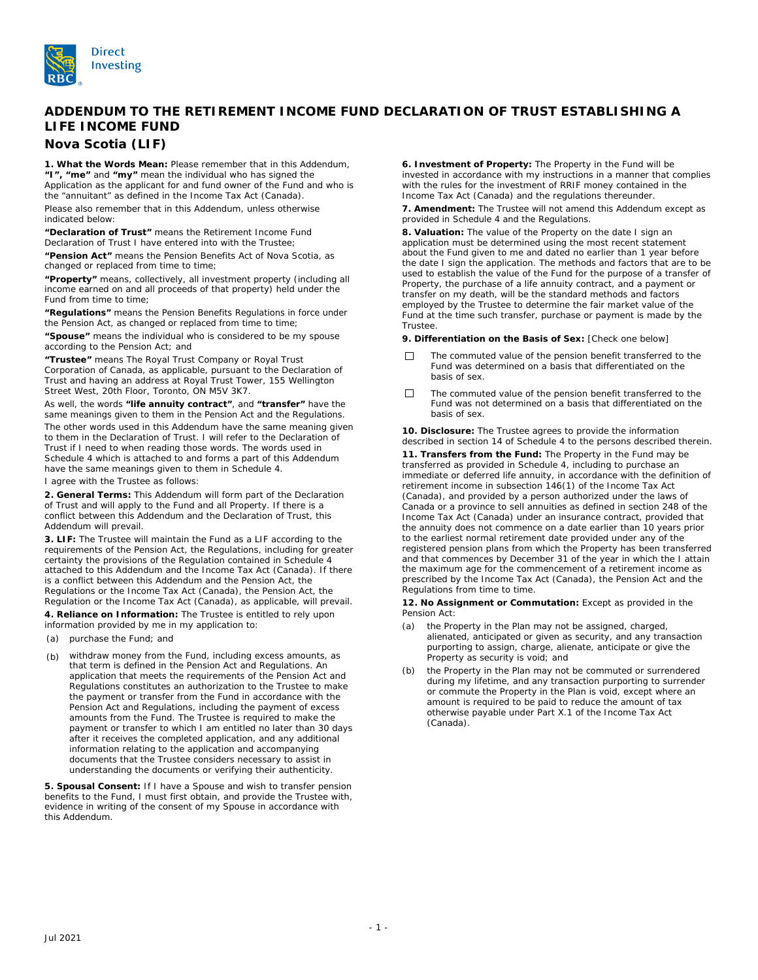

# **ADDENDUM TO THE RETIREMENT INCOME FUND DECLARATION OF TRUST ESTABLISHING A LIFE INCOME FUND**

# **Nova Scotia (LIF)**

**1. What the Words Mean:** Please remember that in this Addendum, **"I", "me"** and **"my"** mean the individual who has signed the Application as the applicant for and fund owner of the Fund and who is the "annuitant" as defined in the *Income Tax Act* (Canada). Please also remember that in this Addendum, unless otherwise indicated below:

**"Declaration of Trust"** means the Retirement Income Fund Declaration of Trust I have entered into with the Trustee;

**"Pension Act"** means the *Pension Benefits Act* of Nova Scotia, as changed or replaced from time to time;

**"Property"** means, collectively, all investment property (including all income earned on and all proceeds of that property) held under the Fund from time to time;

**"Regulations"** means the *Pension Benefits Regulations* in force under the Pension Act, as changed or replaced from time to time;

**"Spouse"** means the individual who is considered to be my spouse according to the Pension Act; and

**"Trustee"** means The Royal Trust Company or Royal Trust Corporation of Canada, as applicable, pursuant to the Declaration of Trust and having an address at Royal Trust Tower, 155 Wellington Street West, 20th Floor, Toronto, ON M5V 3K7.

As well, the words **"life annuity contract"**, and **"transfer"** have the same meanings given to them in the Pension Act and the Regulations.

The other words used in this Addendum have the same meaning given to them in the Declaration of Trust. I will refer to the Declaration of Trust if I need to when reading those words. The words used in Schedule 4 which is attached to and forms a part of this Addendum have the same meanings given to them in Schedule 4.

I agree with the Trustee as follows:

**2. General Terms:** This Addendum will form part of the Declaration of Trust and will apply to the Fund and all Property. If there is a conflict between this Addendum and the Declaration of Trust, this Addendum will prevail.

**3. LIF:** The Trustee will maintain the Fund as a LIF according to the requirements of the Pension Act, the Regulations, including for greater certainty the provisions of the Regulation contained in Schedule 4 attached to this Addendum and the *Income Tax Act* (Canada). If there is a conflict between this Addendum and the Pension Act, the Regulations or the *Income Tax Act* (Canada), the Pension Act, the Regulation or the *Income Tax Act* (Canada), as applicable, will prevail.

**4. Reliance on Information:** The Trustee is entitled to rely upon information provided by me in my application to:

- (a) purchase the Fund; and
- (b) withdraw money from the Fund, including excess amounts, as that term is defined in the Pension Act and Regulations. An application that meets the requirements of the Pension Act and Regulations constitutes an authorization to the Trustee to make the payment or transfer from the Fund in accordance with the Pension Act and Regulations, including the payment of excess amounts from the Fund. The Trustee is required to make the payment or transfer to which I am entitled no later than 30 days after it receives the completed application, and any additional information relating to the application and accompanying documents that the Trustee considers necessary to assist in understanding the documents or verifying their authenticity.

**5. Spousal Consent:** If I have a Spouse and wish to transfer pension benefits to the Fund, I must first obtain, and provide the Trustee with, evidence in writing of the consent of my Spouse in accordance with this Addendum.

**6. Investment of Property:** The Property in the Fund will be invested in accordance with my instructions in a manner that complies with the rules for the investment of RRIF money contained in the *Income Tax Act* (Canada) and the regulations thereunder.

**7. Amendment:** The Trustee will not amend this Addendum except as provided in Schedule 4 and the Regulations.

**8. Valuation:** The value of the Property on the date I sign an application must be determined using the most recent statement about the Fund given to me and dated no earlier than 1 year before the date I sign the application. The methods and factors that are to be used to establish the value of the Fund for the purpose of a transfer of Property, the purchase of a life annuity contract, and a payment or transfer on my death, will be the standard methods and factors employed by the Trustee to determine the fair market value of the Fund at the time such transfer, purchase or payment is made by the Trustee.

**9. Differentiation on the Basis of Sex:** [Check one below]

- The commuted value of the pension benefit transferred to the  $\Box$ Fund was determined on a basis that differentiated on the basis of sex.
- The commuted value of the pension benefit transferred to the  $\Box$ Fund was not determined on a basis that differentiated on the basis of sex.

**10. Disclosure:** The Trustee agrees to provide the information described in section 14 of Schedule 4 to the persons described therein.

**11. Transfers from the Fund:** The Property in the Fund may be transferred as provided in Schedule 4, including to purchase an immediate or deferred life annuity, in accordance with the definition of retirement income in subsection 146(1) of the *Income Tax Act* (Canada), and provided by a person authorized under the laws of Canada or a province to sell annuities as defined in section 248 of the *Income Tax Act* (Canada) under an insurance contract, provided that the annuity does not commence on a date earlier than 10 years prior to the earliest normal retirement date provided under any of the registered pension plans from which the Property has been transferred and that commences by December 31 of the year in which the I attain the maximum age for the commencement of a retirement income as prescribed by the *Income Tax Act* (Canada), the Pension Act and the Regulations from time to time.

**12. No Assignment or Commutation:** Except as provided in the Pension Act:

- (a) the Property in the Plan may not be assigned, charged, alienated, anticipated or given as security, and any transaction purporting to assign, charge, alienate, anticipate or give the Property as security is void; and
- (b) the Property in the Plan may not be commuted or surrendered during my lifetime, and any transaction purporting to surrender or commute the Property in the Plan is void, except where an amount is required to be paid to reduce the amount of tax otherwise payable under Part X.1 of the *Income Tax Act* (Canada).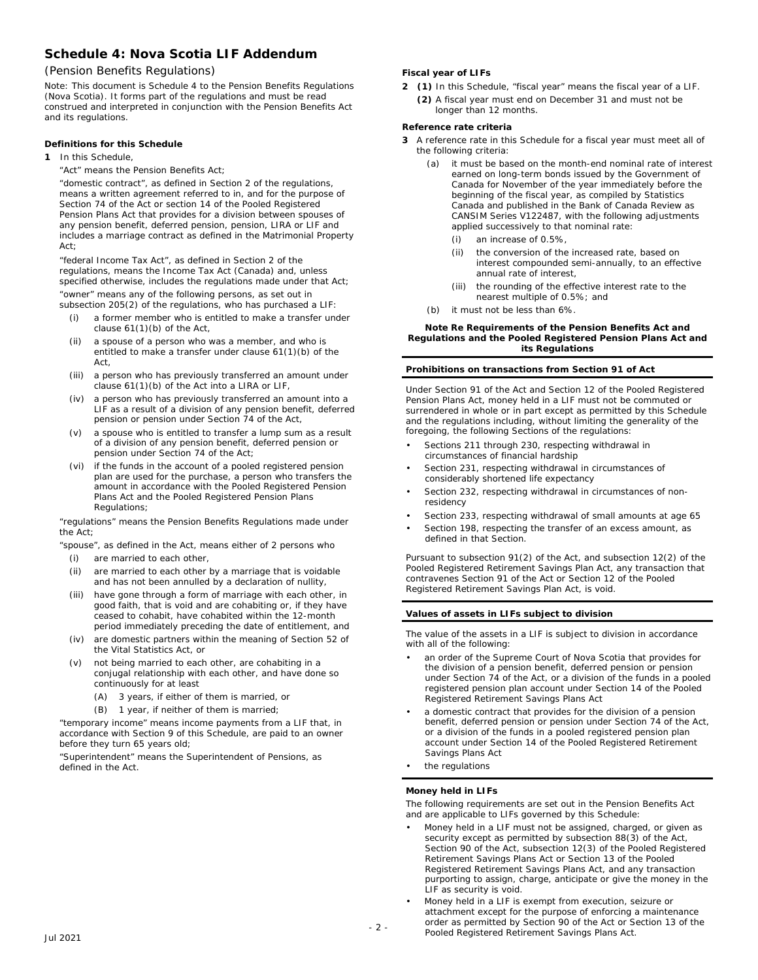# **Schedule 4: Nova Scotia LIF Addendum**

# (*Pension Benefits Regulations*)

Note: This document is Schedule 4 to the Pension Benefits Regulations (Nova Scotia). It forms part of the regulations and must be read construed and interpreted in conjunction with the *Pension Benefits Act*  and its regulations.

# **Definitions for this Schedule**

- **1** In this Schedule,
	- "Act" means the *Pension Benefits Act*;

"domestic contract", as defined in Section 2 of the regulations, means a written agreement referred to in, and for the purpose of Section 74 of the Act or section 14 of the *Pooled Registered Pension Plans Act* that provides for a division between spouses of any pension benefit, deferred pension, pension, LIRA or LIF and includes a marriage contract as defined in the *Matrimonial Property Act*;

"federal *Income Tax Act*", as defined in Section 2 of the regulations, means the *Income Tax Act* (Canada) and, unless specified otherwise, includes the regulations made under that Act;

"owner" means any of the following persons, as set out in subsection 205(2) of the regulations, who has purchased a LIF:

- a former member who is entitled to make a transfer under clause 61(1)(b) of the Act,
- (ii) a spouse of a person who was a member, and who is entitled to make a transfer under clause 61(1)(b) of the Act,
- (iii) a person who has previously transferred an amount under clause 61(1)(b) of the Act into a LIRA or LIF,
- (iv) a person who has previously transferred an amount into a LIF as a result of a division of any pension benefit, deferred pension or pension under Section 74 of the Act,
- (v) a spouse who is entitled to transfer a lump sum as a result of a division of any pension benefit, deferred pension or pension under Section 74 of the Act;
- (vi) if the funds in the account of a pooled registered pension plan are used for the purchase, a person who transfers the amount in accordance with the *Pooled Registered Pension Plans Act* and the *Pooled Registered Pension Plans Regulations*;

"regulations" means the Pension Benefits Regulations made under the Act;

"spouse", as defined in the Act, means either of 2 persons who

- (i) are married to each other,
- (ii) are married to each other by a marriage that is voidable and has not been annulled by a declaration of nullity,
- (iii) have gone through a form of marriage with each other, in good faith, that is void and are cohabiting or, if they have ceased to cohabit, have cohabited within the 12-month period immediately preceding the date of entitlement, and
- (iv) are domestic partners within the meaning of Section 52 of the *Vital Statistics Act*, or
- (v) not being married to each other, are cohabiting in a conjugal relationship with each other, and have done so continuously for at least
	- (A) 3 years, if either of them is married, or
	- (B) 1 year, if neither of them is married;

"temporary income" means income payments from a LIF that, in accordance with Section 9 of this Schedule, are paid to an owner before they turn 65 years old;

"Superintendent" means the Superintendent of Pensions, as defined in the Act.

# **Fiscal year of LIFs**

**2 (1)** In this Schedule, "fiscal year" means the fiscal year of a LIF. **(2)** A fiscal year must end on December 31 and must not be longer than 12 months.

# **Reference rate criteria**

- A reference rate in this Schedule for a fiscal year must meet all of **3** the following criteria:
	- (a) it must be based on the month-end nominal rate of interest earned on long-term bonds issued by the Government of Canada for November of the year immediately before the beginning of the fiscal year, as compiled by Statistics Canada and published in the Bank of Canada Review as CANSIM Series V122487, with the following adjustments applied successively to that nominal rate:
		- (i) an increase of 0.5%,
		- (ii) the conversion of the increased rate, based on interest compounded semi-annually, to an effective annual rate of interest,
		- (iii) the rounding of the effective interest rate to the nearest multiple of 0.5%; and
	- (b) it must not be less than 6%.

#### **Note Re Requirements of the** *Pension Benefits Act* **and**  *Regulations* **and the** *Pooled Registered Pension Plans Act* **and its Regulations**

# **Prohibitions on transactions from Section 91 of Act**

Under Section 91 of the Act and Section 12 of the *Pooled Registered Pension Plans Act*, money held in a LIF must not be commuted or surrendered in whole or in part except as permitted by this Schedule and the regulations including, without limiting the generality of the foregoing, the following Sections of the regulations:

- Sections 211 through 230, respecting withdrawal in circumstances of financial hardship
- Section 231, respecting withdrawal in circumstances of considerably shortened life expectancy
- Section 232, respecting withdrawal in circumstances of nonresidency
- Section 233, respecting withdrawal of small amounts at age 65
- Section 198, respecting the transfer of an excess amount, as defined in that Section.

Pursuant to subsection 91(2) of the Act, and subsection 12(2) of the *Pooled Registered Retirement Savings Plan Act*, any transaction that contravenes Section 91 of the Act or Section 12 of the *Pooled Registered Retirement Savings Plan Act*, is void.

## **Values of assets in LIFs subject to division**

The value of the assets in a LIF is subject to division in accordance with all of the following:

- an order of the Supreme Court of Nova Scotia that provides for the division of a pension benefit, deferred pension or pension under Section 74 of the Act, or a division of the funds in a pooled registered pension plan account under Section 14 of the *Pooled Registered Retirement Savings Plans Act*
- a domestic contract that provides for the division of a pension benefit, deferred pension or pension under Section 74 of the Act, or a division of the funds in a pooled registered pension plan account under Section 14 of the *Pooled Registered Retirement Savings Plans Act*
- the regulations

#### **Money held in LIFs**

The following requirements are set out in the *Pension Benefits Act*  and are applicable to LIFs governed by this Schedule:

- Money held in a LIF must not be assigned, charged, or given as security except as permitted by subsection 88(3) of the Act, Section 90 of the Act, subsection 12(3) of the *Pooled Registered Retirement Savings Plans Act* or Section 13 of the *Pooled Registered Retirement Savings Plans Act*, and any transaction purporting to assign, charge, anticipate or give the money in the LIF as security is void.
- Money held in a LIF is exempt from execution, seizure or attachment except for the purpose of enforcing a maintenance order as permitted by Section 90 of the Act or Section 13 of the *Pooled Registered Retirement Savings Plans Act*. - 2 -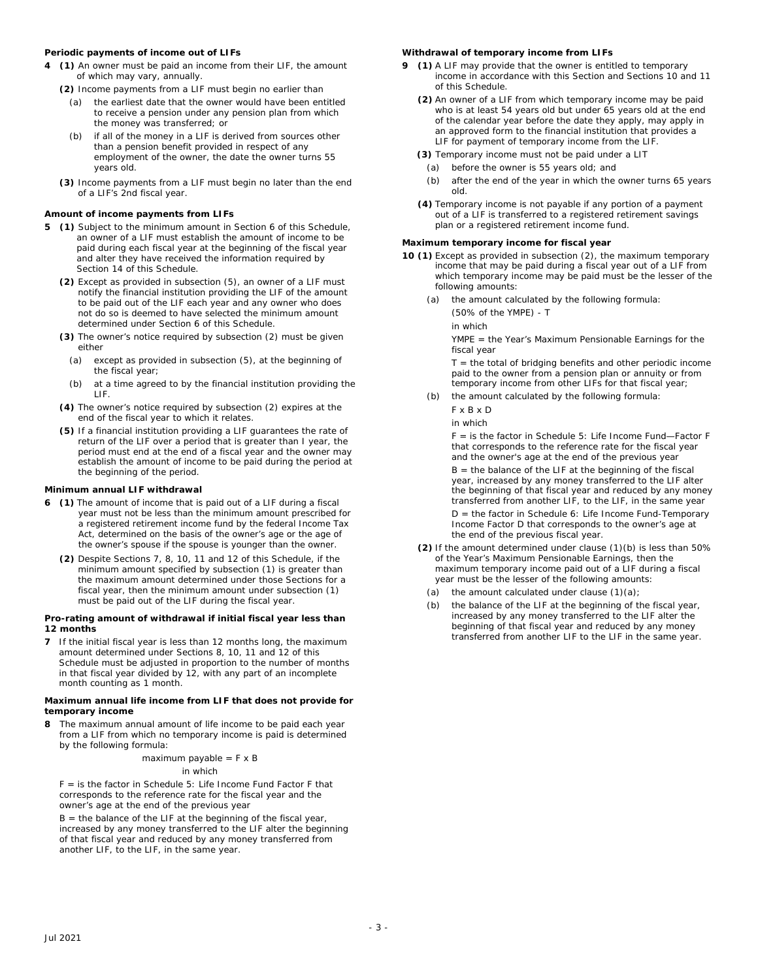# **Periodic payments of income out of LIFs**

- **4 (1)** An owner must be paid an income from their LIF, the amount of which may vary, annually.
	- **(2)** Income payments from a LIF must begin no earlier than
		- (a) the earliest date that the owner would have been entitled to receive a pension under any pension plan from which the money was transferred; or
		- (b) if all of the money in a LIF is derived from sources other than a pension benefit provided in respect of any employment of the owner, the date the owner turns 55 years old.
	- **(3)** Income payments from a LIF must begin no later than the end of a LIF's 2nd fiscal year.

# **Amount of income payments from LIFs**

- **5 (1)** Subject to the minimum amount in Section 6 of this Schedule, an owner of a LIF must establish the amount of income to be paid during each fiscal year at the beginning of the fiscal year and alter they have received the information required by Section 14 of this Schedule.
	- **(2)** Except as provided in subsection (5), an owner of a LIF must notify the financial institution providing the LIF of the amount to be paid out of the LIF each year and any owner who does not do so is deemed to have selected the minimum amount determined under Section 6 of this Schedule.
	- **(3)** The owner's notice required by subsection (2) must be given either
		- (a) except as provided in subsection (5), at the beginning of the fiscal year;
		- (b) at a time agreed to by the financial institution providing the LIF.
	- **(4)** The owner's notice required by subsection (2) expires at the end of the fiscal year to which it relates.
	- **(5)** If a financial institution providing a LIF guarantees the rate of return of the LIF over a period that is greater than I year, the period must end at the end of a fiscal year and the owner may establish the amount of income to be paid during the period at the beginning of the period.

# **Minimum annual LIF withdrawal**

- **6** (1) The amount of income that is paid out of a LIF during a fiscal year must not be less than the minimum amount prescribed for a registered retirement income fund by the federal *Income Tax Act*, determined on the basis of the owner's age or the age of the owner's spouse if the spouse is younger than the owner.
	- **(2)** Despite Sections 7, 8, 10, 11 and 12 of this Schedule, if the minimum amount specified by subsection (1) is greater than the maximum amount determined under those Sections for a fiscal year, then the minimum amount under subsection (1) must be paid out of the LIF during the fiscal year.

#### **Pro-rating amount of withdrawal if initial fiscal year less than 12 months**

**7** If the initial fiscal year is less than 12 months long, the maximum amount determined under Sections 8, 10, 11 and 12 of this Schedule must be adjusted in proportion to the number of months in that fiscal year divided by 12, with any part of an incomplete month counting as 1 month.

#### **Maximum annual life income from LIF that does not provide for temporary income**

**8** The maximum annual amount of life income to be paid each year from a LIF from which no temporary income is paid is determined by the following formula:

# maximum payable  $=$  F  $\times$  B

#### in which

 $F =$  is the factor in Schedule 5: Life Income Fund Factor F that corresponds to the reference rate for the fiscal year and the owner's age at the end of the previous year

 $B =$  the balance of the LIF at the beginning of the fiscal year, increased by any money transferred to the LIF alter the beginning of that fiscal year and reduced by any money transferred from another LIF, to the LIF, in the same year.

# **Withdrawal of temporary income from LIFs**

- **9** (1) A LIF may provide that the owner is entitled to temporary income in accordance with this Section and Sections 10 and 11 of this Schedule.
	- (2) An owner of a LIF from which temporary income may be paid who is at least 54 years old but under 65 years old at the end of the calendar year before the date they apply, may apply in an approved form to the financial institution that provides a LIF for payment of temporary income from the LIF.
	- **(3)** Temporary income must not be paid under a LIT
	- (a) before the owner is 55 years old; and
	- (b) after the end of the year in which the owner turns 65 years old.
	- Temporary income is not payable if any portion of a payment **(4)** out of a LIF is transferred to a registered retirement savings plan or a registered retirement income fund.

#### **Maximum temporary income for fiscal year**

- **10 (1)** Except as provided in subsection (2), the maximum temporary income that may be paid during a fiscal year out of a LIF from which temporary income may be paid must be the lesser of the following amounts:
	- (a) the amount calculated by the following formula:
		- (50% of the YMPE) T
		- in which

YMPE = the Year's Maximum Pensionable Earnings for the fiscal year

 $T =$  the total of bridging benefits and other periodic income paid to the owner from a pension plan or annuity or from temporary income from other LIFs for that fiscal year;

(b) the amount calculated by the following formula:

F x B x D

in which

F = is the factor in Schedule 5: Life Income Fund—Factor F that corresponds to the reference rate for the fiscal year and the owner's age at the end of the previous year

 $B =$  the balance of the LIF at the beginning of the fiscal year, increased by any money transferred to the LIF alter the beginning of that fiscal year and reduced by any money transferred from another LIF, to the LIF, in the same year

D = the factor in Schedule 6: Life Income Fund-Temporary Income Factor D that corresponds to the owner's age at the end of the previous fiscal year.

- **(2)** If the amount determined under clause (1)(b) is less than 50% of the Year's Maximum Pensionable Earnings, then the maximum temporary income paid out of a LIF during a fiscal year must be the lesser of the following amounts:
	- (a) the amount calculated under clause  $(1)(a)$ ;
	- (b) the balance of the LIF at the beginning of the fiscal year, increased by any money transferred to the LIF alter the beginning of that fiscal year and reduced by any money transferred from another LIF to the LIF in the same year.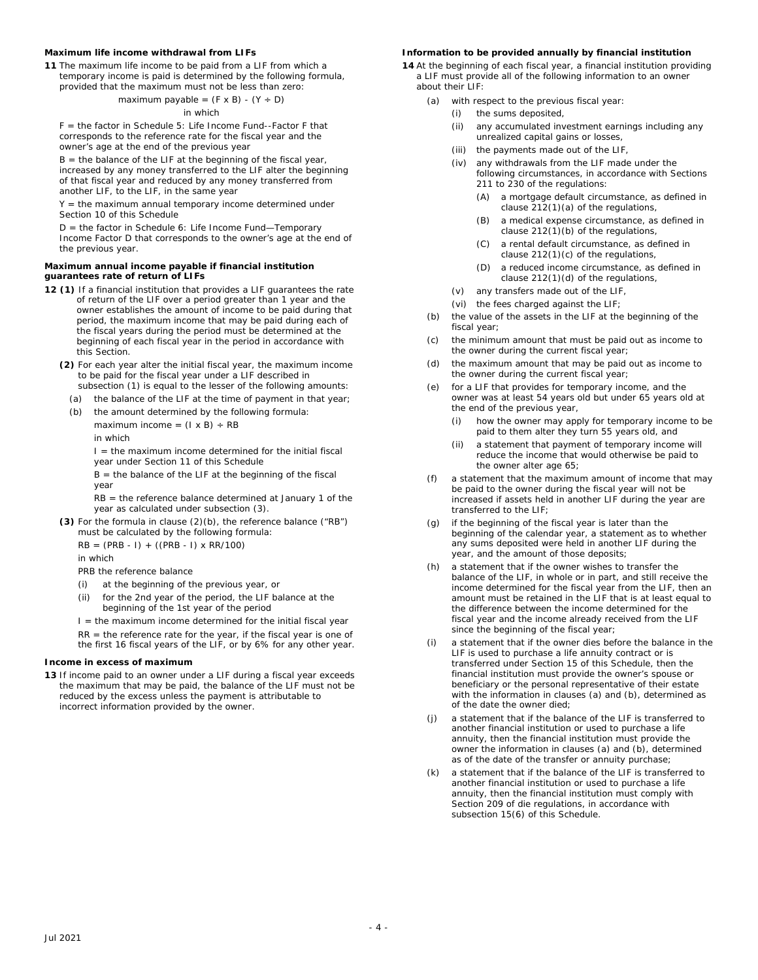# **Maximum life income withdrawal from LIFs**

**11** The maximum life income to be paid from a LIF from which a temporary income is paid is determined by the following formula, provided that the maximum must not be less than zero:

maximum payable =  $(F \times B) - (Y \div D)$ 

# in which

F = the factor in Schedule 5: Life Income Fund--Factor F that corresponds to the reference rate for the fiscal year and the owner's age at the end of the previous year

 $B =$  the balance of the LIF at the beginning of the fiscal year, increased by any money transferred to the LIF alter the beginning of that fiscal year and reduced by any money transferred from another LIF, to the LIF, in the same year

 $Y =$  the maximum annual temporary income determined under Section 10 of this Schedule

D = the factor in Schedule 6: Life Income Fund—Temporary Income Factor D that corresponds to the owner's age at the end of the previous year.

#### **Maximum annual income payable if financial institution guarantees rate of return of LIFs**

- **12 (1)** If a financial institution that provides a LIF guarantees the rate of return of the LIF over a period greater than 1 year and the owner establishes the amount of income to be paid during that period, the maximum income that may be paid during each of the fiscal years during the period must be determined at the beginning of each fiscal year in the period in accordance with this Section.
	- **(2)** For each year alter the initial fiscal year, the maximum income to be paid for the fiscal year under a LIF described in subsection (1) is equal to the lesser of the following amounts:
		- (a) the balance of the LIF at the time of payment in that year;
		- (b) the amount determined by the following formula:

maximum income =  $(I \times B) \div RB$ 

in which

 $I =$  the maximum income determined for the initial fiscal year under Section 11 of this Schedule

 $B =$  the balance of the LIF at the beginning of the fiscal year

RB = the reference balance determined at January 1 of the year as calculated under subsection (3).

**(3)** For the formula in clause (2)(b), the reference balance ("RB") must be calculated by the following formula:

 $RB = (PRB - I) + ((PRB - I) \times RR/100)$ 

in which

PRB the reference balance

- (i) at the beginning of the previous year, or
- (ii) for the 2nd year of the period, the LIF balance at the beginning of the 1st year of the period

 $I =$  the maximum income determined for the initial fiscal year  $RR =$  the reference rate for the year, if the fiscal year is one of the first 16 fiscal years of the LIF, or by 6% for any other year.

#### **Income in excess of maximum**

**13** If income paid to an owner under a LIF during a fiscal year exceeds the maximum that may be paid, the balance of the LIF must not be reduced by the excess unless the payment is attributable to incorrect information provided by the owner.

# **Information to be provided annually by financial institution**

**14** At the beginning of each fiscal year, a financial institution providing a LIF must provide all of the following information to an owner about their LIF:

- (a) with respect to the previous fiscal year:
	- (i) the sums deposited,
	- (ii) any accumulated investment earnings including any unrealized capital gains or losses,
	- (iii) the payments made out of the LIF,
	- (iv) any withdrawals from the LIF made under the following circumstances, in accordance with Sections 211 to 230 of the regulations:
		- (A) a mortgage default circumstance, as defined in clause 212(1)(a) of the regulations,
		- (B) a medical expense circumstance, as defined in clause 212(1)(b) of the regulations,
		- (C) a rental default circumstance, as defined in clause 212(1)(c) of the regulations,
		- (D) a reduced income circumstance, as defined in clause 212(1)(d) of the regulations,
	- (v) any transfers made out of the LIF,
	- (vi) the fees charged against the LIF;
- (b) the value of the assets in the LIF at the beginning of the fiscal year:
- (c) the minimum amount that must be paid out as income to the owner during the current fiscal year;
- (d) the maximum amount that may be paid out as income to the owner during the current fiscal year;
- (e) for a LIF that provides for temporary income, and the owner was at least 54 years old but under 65 years old at the end of the previous year,
	- (i) how the owner may apply for temporary income to be paid to them alter they turn 55 years old, and
	- (ii) a statement that payment of temporary income will reduce the income that would otherwise be paid to the owner alter age 65;
- (f) a statement that the maximum amount of income that may be paid to the owner during the fiscal year will not be increased if assets held in another LIF during the year are transferred to the LIF;
- (g) if the beginning of the fiscal year is later than the beginning of the calendar year, a statement as to whether any sums deposited were held in another LIF during the year, and the amount of those deposits;
- (h) a statement that if the owner wishes to transfer the balance of the LIF, in whole or in part, and still receive the income determined for the fiscal year from the LIF, then an amount must be retained in the LIF that is at least equal to the difference between the income determined for the fiscal year and the income already received from the LIF since the beginning of the fiscal year;
- (i) a statement that if the owner dies before the balance in the LIF is used to purchase a life annuity contract or is transferred under Section 15 of this Schedule, then the financial institution must provide the owner's spouse or beneficiary or the personal representative of their estate with the information in clauses (a) and (b), determined as of the date the owner died;
- (j) a statement that if the balance of the LIF is transferred to another financial institution or used to purchase a life annuity, then the financial institution must provide the owner the information in clauses (a) and (b), determined as of the date of the transfer or annuity purchase;
- (k) a statement that if the balance of the LIF is transferred to another financial institution or used to purchase a life annuity, then the financial institution must comply with Section 209 of die regulations, in accordance with subsection 15(6) of this Schedule.